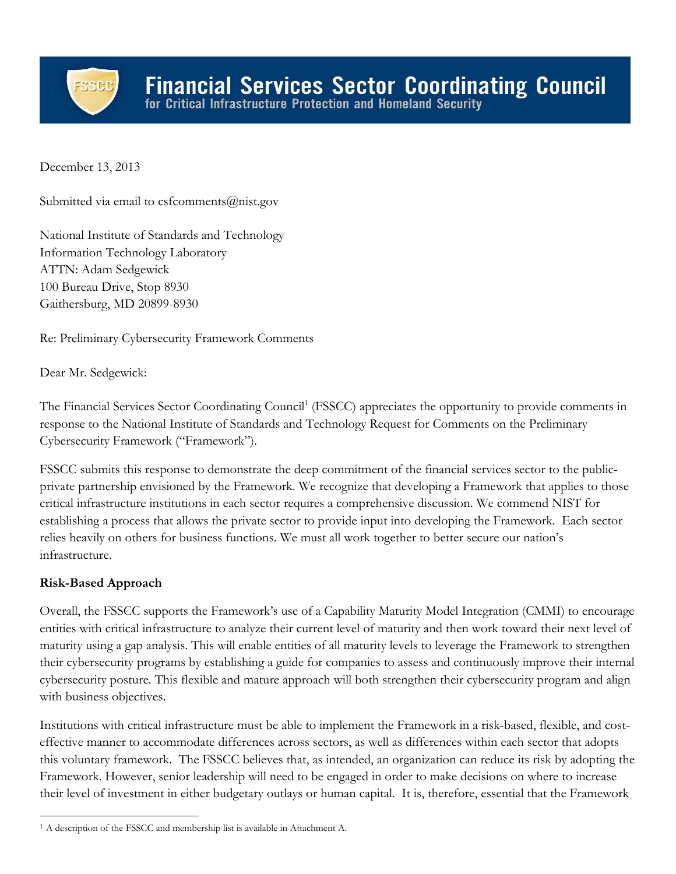

December 13, 2013

Submitted via email to csfcomments@nist.gov

National Institute of Standards and Technology Information Technology Laboratory ATTN: Adam Sedgewick 100 Bureau Drive, Stop 8930 Gaithersburg, MD 20899-8930

Re: Preliminary Cybersecurity Framework Comments

Dear Mr. Sedgewick:

The Financial Services Sector Coordinating Council<sup>1</sup> (FSSCC) appreciates the opportunity to provide comments in response to the National Institute of Standards and Technology Request for Comments on the Preliminary Cybersecurity Framework ("Framework").

FSSCC submits this response to demonstrate the deep commitment of the financial services sector to the publicprivate partnership envisioned by the Framework. We recognize that developing a Framework that applies to those critical infrastructure institutions in each sector requires a comprehensive discussion. We commend NIST for establishing a process that allows the private sector to provide input into developing the Framework. Each sector relies heavily on others for business functions. We must all work together to better secure our nation's infrastructure.

# **Risk-Based Approach**

Overall, the FSSCC supports the Framework's use of a Capability Maturity Model Integration (CMMI) to encourage entities with critical infrastructure to analyze their current level of maturity and then work toward their next level of maturity using a gap analysis. This will enable entities of all maturity levels to leverage the Framework to strengthen their cybersecurity programs by establishing a guide for companies to assess and continuously improve their internal cybersecurity posture. This flexible and mature approach will both strengthen their cybersecurity program and align with business objectives.

Institutions with critical infrastructure must be able to implement the Framework in a risk-based, flexible, and costeffective manner to accommodate differences across sectors, as well as differences within each sector that adopts this voluntary framework. The FSSCC believes that, as intended, an organization can reduce its risk by adopting the Framework. However, senior leadership will need to be engaged in order to make decisions on where to increase their level of investment in either budgetary outlays or human capital. It is, therefore, essential that the Framework

<sup>&</sup>lt;sup>1</sup> A description of the FSSCC and membership list is available in Attachment A.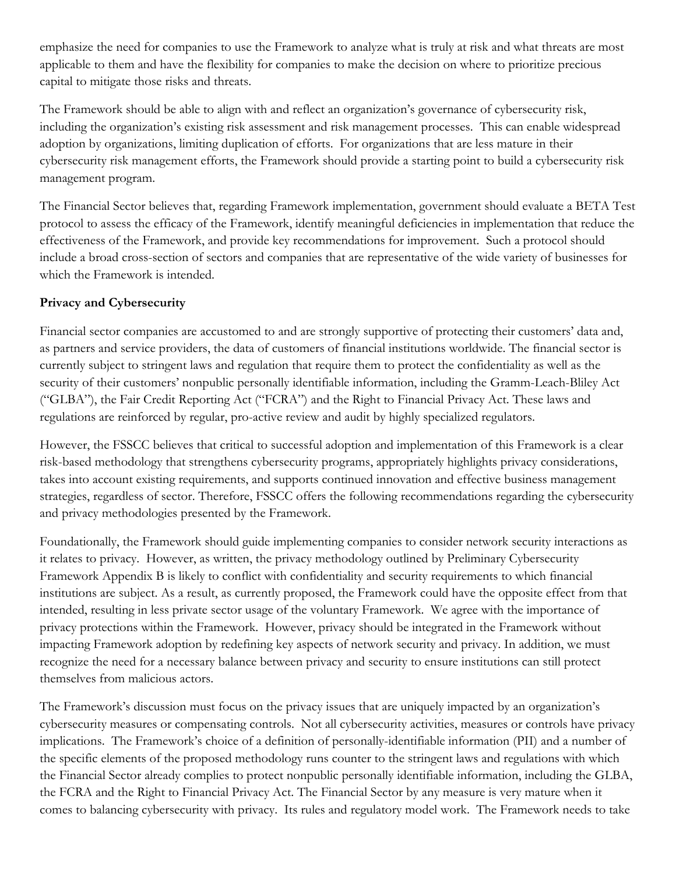emphasize the need for companies to use the Framework to analyze what is truly at risk and what threats are most applicable to them and have the flexibility for companies to make the decision on where to prioritize precious capital to mitigate those risks and threats.

The Framework should be able to align with and reflect an organization's governance of cybersecurity risk, including the organization's existing risk assessment and risk management processes. This can enable widespread adoption by organizations, limiting duplication of efforts. For organizations that are less mature in their cybersecurity risk management efforts, the Framework should provide a starting point to build a cybersecurity risk management program.

The Financial Sector believes that, regarding Framework implementation, government should evaluate a BETA Test protocol to assess the efficacy of the Framework, identify meaningful deficiencies in implementation that reduce the effectiveness of the Framework, and provide key recommendations for improvement. Such a protocol should include a broad cross-section of sectors and companies that are representative of the wide variety of businesses for which the Framework is intended.

# **Privacy and Cybersecurity**

Financial sector companies are accustomed to and are strongly supportive of protecting their customers' data and, as partners and service providers, the data of customers of financial institutions worldwide. The financial sector is currently subject to stringent laws and regulation that require them to protect the confidentiality as well as the security of their customers' nonpublic personally identifiable information, including the Gramm-Leach-Bliley Act ("GLBA"), the Fair Credit Reporting Act ("FCRA") and the Right to Financial Privacy Act. These laws and regulations are reinforced by regular, pro-active review and audit by highly specialized regulators.

However, the FSSCC believes that critical to successful adoption and implementation of this Framework is a clear risk-based methodology that strengthens cybersecurity programs, appropriately highlights privacy considerations, takes into account existing requirements, and supports continued innovation and effective business management strategies, regardless of sector. Therefore, FSSCC offers the following recommendations regarding the cybersecurity and privacy methodologies presented by the Framework.

Foundationally, the Framework should guide implementing companies to consider network security interactions as it relates to privacy. However, as written, the privacy methodology outlined by Preliminary Cybersecurity Framework Appendix B is likely to conflict with confidentiality and security requirements to which financial institutions are subject. As a result, as currently proposed, the Framework could have the opposite effect from that intended, resulting in less private sector usage of the voluntary Framework. We agree with the importance of privacy protections within the Framework. However, privacy should be integrated in the Framework without impacting Framework adoption by redefining key aspects of network security and privacy. In addition, we must recognize the need for a necessary balance between privacy and security to ensure institutions can still protect themselves from malicious actors.

The Framework's discussion must focus on the privacy issues that are uniquely impacted by an organization's cybersecurity measures or compensating controls. Not all cybersecurity activities, measures or controls have privacy implications. The Framework's choice of a definition of personally-identifiable information (PII) and a number of the specific elements of the proposed methodology runs counter to the stringent laws and regulations with which the Financial Sector already complies to protect nonpublic personally identifiable information, including the GLBA, the FCRA and the Right to Financial Privacy Act. The Financial Sector by any measure is very mature when it comes to balancing cybersecurity with privacy. Its rules and regulatory model work. The Framework needs to take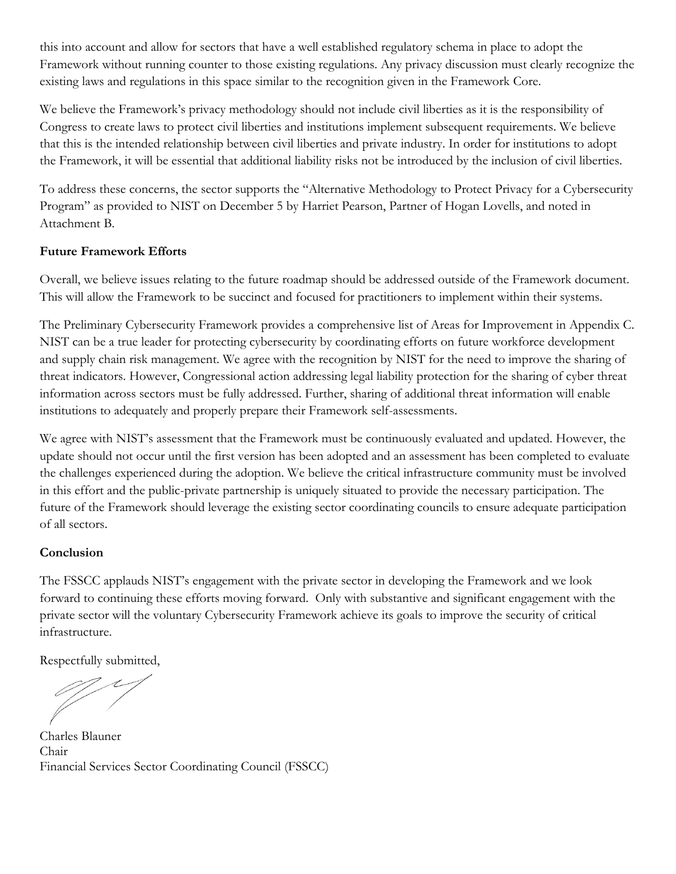this into account and allow for sectors that have a well established regulatory schema in place to adopt the Framework without running counter to those existing regulations. Any privacy discussion must clearly recognize the existing laws and regulations in this space similar to the recognition given in the Framework Core.

We believe the Framework's privacy methodology should not include civil liberties as it is the responsibility of Congress to create laws to protect civil liberties and institutions implement subsequent requirements. We believe that this is the intended relationship between civil liberties and private industry. In order for institutions to adopt the Framework, it will be essential that additional liability risks not be introduced by the inclusion of civil liberties.

To address these concerns, the sector supports the "Alternative Methodology to Protect Privacy for a Cybersecurity Program" as provided to NIST on December 5 by Harriet Pearson, Partner of Hogan Lovells, and noted in Attachment B.

## **Future Framework Efforts**

Overall, we believe issues relating to the future roadmap should be addressed outside of the Framework document. This will allow the Framework to be succinct and focused for practitioners to implement within their systems.

The Preliminary Cybersecurity Framework provides a comprehensive list of Areas for Improvement in Appendix C. NIST can be a true leader for protecting cybersecurity by coordinating efforts on future workforce development and supply chain risk management. We agree with the recognition by NIST for the need to improve the sharing of threat indicators. However, Congressional action addressing legal liability protection for the sharing of cyber threat information across sectors must be fully addressed. Further, sharing of additional threat information will enable institutions to adequately and properly prepare their Framework self-assessments.

We agree with NIST's assessment that the Framework must be continuously evaluated and updated. However, the update should not occur until the first version has been adopted and an assessment has been completed to evaluate the challenges experienced during the adoption. We believe the critical infrastructure community must be involved in this effort and the public-private partnership is uniquely situated to provide the necessary participation. The future of the Framework should leverage the existing sector coordinating councils to ensure adequate participation of all sectors.

## **Conclusion**

The FSSCC applauds NIST's engagement with the private sector in developing the Framework and we look forward to continuing these efforts moving forward. Only with substantive and significant engagement with the private sector will the voluntary Cybersecurity Framework achieve its goals to improve the security of critical infrastructure.

Respectfully submitted,

Charles Blauner Chair Financial Services Sector Coordinating Council (FSSCC)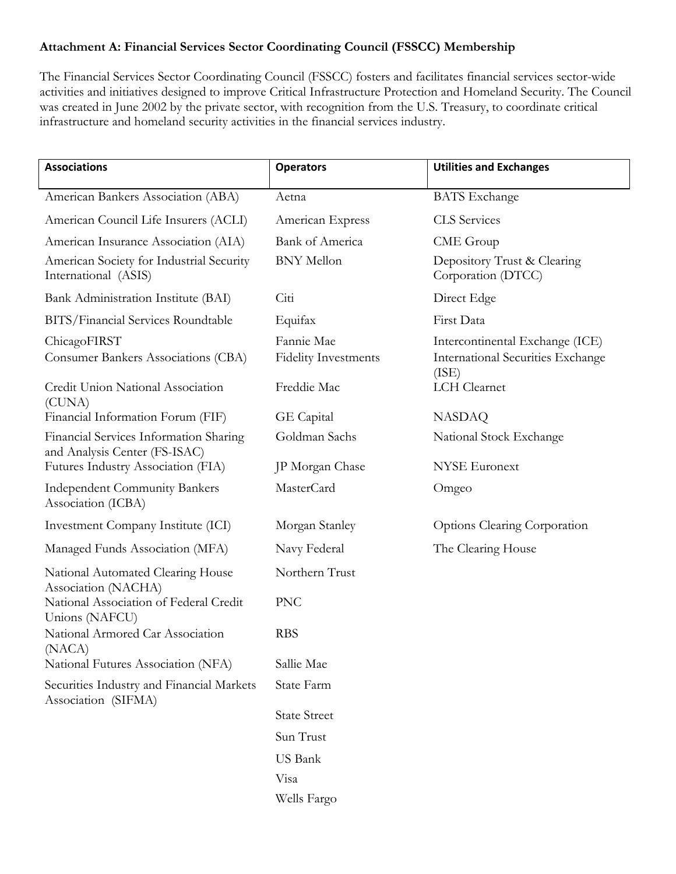## **Attachment A: Financial Services Sector Coordinating Council (FSSCC) Membership**

The Financial Services Sector Coordinating Council (FSSCC) fosters and facilitates financial services sector-wide activities and initiatives designed to improve Critical Infrastructure Protection and Homeland Security. The Council was created in June 2002 by the private sector, with recognition from the U.S. Treasury, to coordinate critical infrastructure and homeland security activities in the financial services industry.

| <b>Associations</b>                                                     | <b>Operators</b>            | <b>Utilities and Exchanges</b>                    |
|-------------------------------------------------------------------------|-----------------------------|---------------------------------------------------|
| American Bankers Association (ABA)                                      | Aetna                       | <b>BATS</b> Exchange                              |
| American Council Life Insurers (ACLI)                                   | American Express            | <b>CLS</b> Services                               |
| American Insurance Association (AIA)                                    | <b>Bank of America</b>      | CME Group                                         |
| American Society for Industrial Security<br>International (ASIS)        | <b>BNY</b> Mellon           | Depository Trust & Clearing<br>Corporation (DTCC) |
| Bank Administration Institute (BAI)                                     | Citi                        | Direct Edge                                       |
| BITS/Financial Services Roundtable                                      | Equifax                     | First Data                                        |
| ChicagoFIRST                                                            | Fannie Mae                  | Intercontinental Exchange (ICE)                   |
| Consumer Bankers Associations (CBA)                                     | <b>Fidelity Investments</b> | <b>International Securities Exchange</b><br>(ISE) |
| Credit Union National Association<br>(CUNA)                             | Freddie Mac                 | LCH Clearnet                                      |
| Financial Information Forum (FIF)                                       | GE Capital                  | <b>NASDAQ</b>                                     |
| Financial Services Information Sharing<br>and Analysis Center (FS-ISAC) | Goldman Sachs               | National Stock Exchange                           |
| Futures Industry Association (FIA)                                      | JP Morgan Chase             | <b>NYSE</b> Euronext                              |
| <b>Independent Community Bankers</b><br>Association (ICBA)              | <b>MasterCard</b>           | Omgeo                                             |
| Investment Company Institute (ICI)                                      | Morgan Stanley              | Options Clearing Corporation                      |
| Managed Funds Association (MFA)                                         | Navy Federal                | The Clearing House                                |
| National Automated Clearing House<br>Association (NACHA)                | Northern Trust              |                                                   |
| National Association of Federal Credit<br>Unions (NAFCU)                | <b>PNC</b>                  |                                                   |
| National Armored Car Association<br>(NACA)                              | <b>RBS</b>                  |                                                   |
| National Futures Association (NFA)                                      | Sallie Mae                  |                                                   |
| Securities Industry and Financial Markets<br>Association (SIFMA)        | State Farm                  |                                                   |
|                                                                         | <b>State Street</b>         |                                                   |
|                                                                         | Sun Trust                   |                                                   |
|                                                                         | US Bank                     |                                                   |
|                                                                         | Visa                        |                                                   |
|                                                                         | Wells Fargo                 |                                                   |